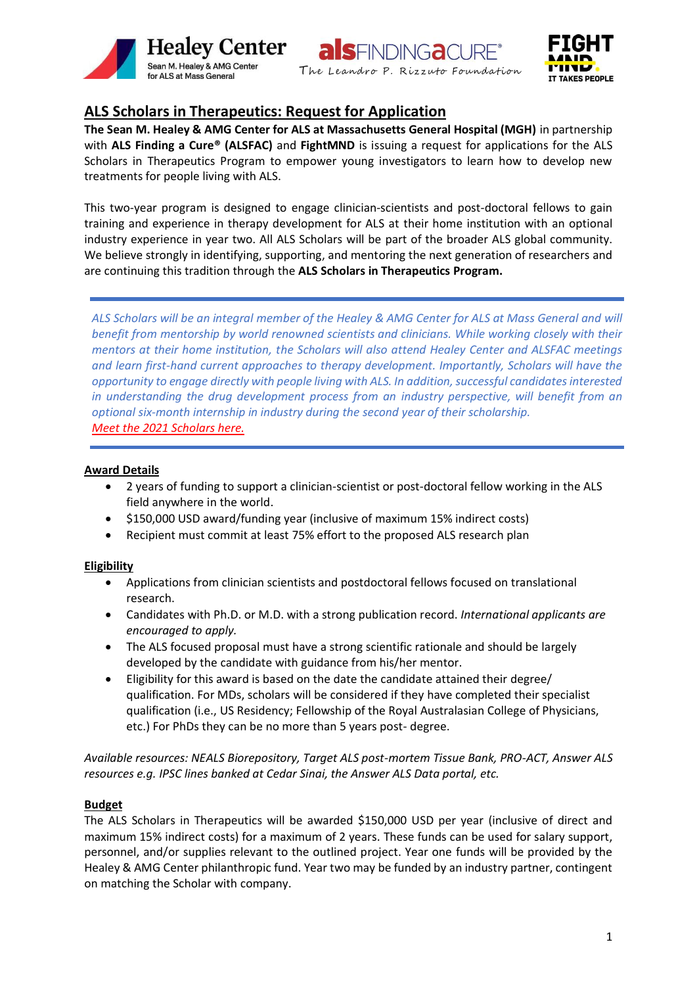





# **ALS Scholars in Therapeutics: Request for Application**

**The Sean M. Healey & AMG Center for ALS at Massachusetts General Hospital (MGH)** in partnership with **ALS Finding a Cure® (ALSFAC)** and **FightMND** is issuing a request for applications for the ALS Scholars in Therapeutics Program to empower young investigators to learn how to develop new treatments for people living with ALS.

This two-year program is designed to engage clinician-scientists and post-doctoral fellows to gain training and experience in therapy development for ALS at their home institution with an optional industry experience in year two. All ALS Scholars will be part of the broader ALS global community. We believe strongly in identifying, supporting, and mentoring the next generation of researchers and are continuing this tradition through the **ALS Scholars in Therapeutics Program.** 

*ALS Scholars will be an integral member of the Healey & AMG Center for ALS at Mass General and will benefit from mentorship by world renowned scientists and clinicians. While working closely with their mentors at their home institution, the Scholars will also attend Healey Center and ALSFAC meetings and learn first-hand current approaches to therapy development. Importantly, Scholars will have the opportunity to engage directly with people living with ALS. In addition, successful candidates interested in understanding the drug development process from an industry perspective, will benefit from an optional six-month internship in industry during the second year of their scholarship. Meet the 2021 Scholars here.*

# **Award Details**

- 2 years of funding to support a clinician-scientist or post-doctoral fellow working in the ALS field anywhere in the world.
- \$150,000 USD award/funding year (inclusive of maximum 15% indirect costs)
- Recipient must commit at least 75% effort to the proposed ALS research plan

## **Eligibility**

- Applications from clinician scientists and postdoctoral fellows focused on translational research.
- Candidates with Ph.D. or M.D. with a strong publication record. *International applicants are encouraged to apply.*
- The ALS focused proposal must have a strong scientific rationale and should be largely developed by the candidate with guidance from his/her mentor.
- Eligibility for this award is based on the date the candidate attained their degree/ qualification. For MDs, scholars will be considered if they have completed their specialist qualification (i.e., US Residency; Fellowship of the Royal Australasian College of Physicians, etc.) For PhDs they can be no more than 5 years post- degree.

*Available resources: NEALS Biorepository, Target ALS post-mortem Tissue Bank, PRO-ACT, Answer ALS resources e.g. IPSC lines banked at Cedar Sinai, the Answer ALS Data portal, etc.*

## **Budget**

The ALS Scholars in Therapeutics will be awarded \$150,000 USD per year (inclusive of direct and maximum 15% indirect costs) for a maximum of 2 years. These funds can be used for salary support, personnel, and/or supplies relevant to the outlined project. Year one funds will be provided by the Healey & AMG Center philanthropic fund. Year two may be funded by an industry partner, contingent on matching the Scholar with company.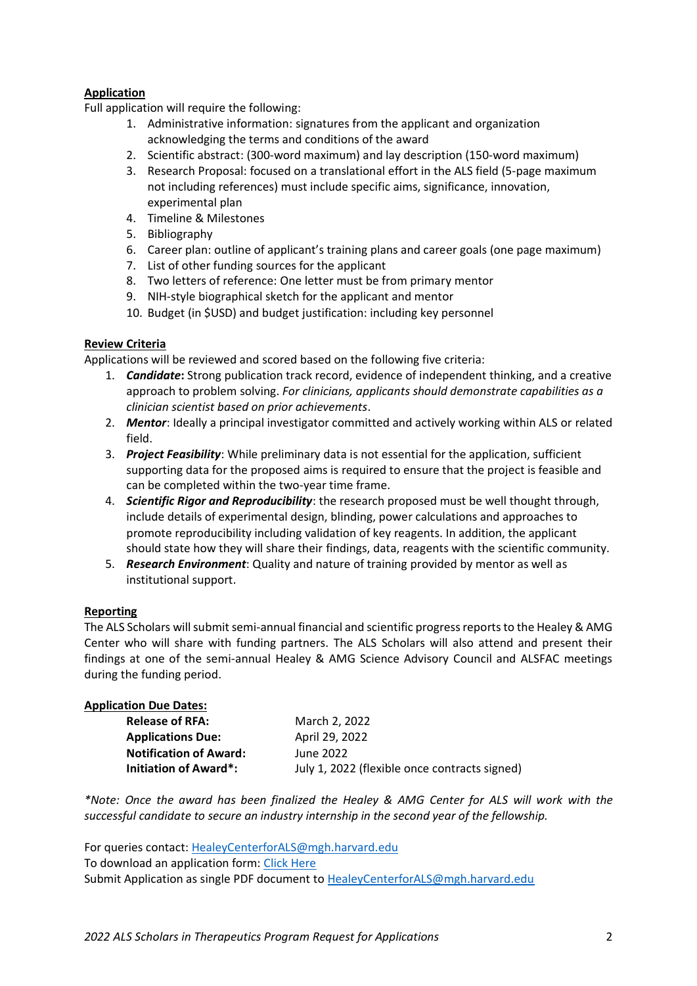# **Application**

Full application will require the following:

- 1. Administrative information: signatures from the applicant and organization acknowledging the terms and conditions of the award
- 2. Scientific abstract: (300-word maximum) and lay description (150-word maximum)
- 3. Research Proposal: focused on a translational effort in the ALS field (5-page maximum not including references) must include specific aims, significance, innovation, experimental plan
- 4. Timeline & Milestones
- 5. Bibliography
- 6. Career plan: outline of applicant's training plans and career goals (one page maximum)
- 7. List of other funding sources for the applicant
- 8. Two letters of reference: One letter must be from primary mentor
- 9. NIH-style biographical sketch for the applicant and mentor
- 10. Budget (in \$USD) and budget justification: including key personnel

# **Review Criteria**

Applications will be reviewed and scored based on the following five criteria:

- 1. *Candidate***:** Strong publication track record, evidence of independent thinking, and a creative approach to problem solving. *For clinicians, applicants should demonstrate capabilities as a clinician scientist based on prior achievements*.
- 2. *Mentor*: Ideally a principal investigator committed and actively working within ALS or related field.
- 3. *Project Feasibility*: While preliminary data is not essential for the application, sufficient supporting data for the proposed aims is required to ensure that the project is feasible and can be completed within the two-year time frame.
- 4. *Scientific Rigor and Reproducibility*: the research proposed must be well thought through, include details of experimental design, blinding, power calculations and approaches to promote reproducibility including validation of key reagents. In addition, the applicant should state how they will share their findings, data, reagents with the scientific community.
- 5. *Research Environment*: Quality and nature of training provided by mentor as well as institutional support.

## **Reporting**

The ALS Scholars will submit semi-annual financial and scientific progress reportsto the Healey & AMG Center who will share with funding partners. The ALS Scholars will also attend and present their findings at one of the semi-annual Healey & AMG Science Advisory Council and ALSFAC meetings during the funding period.

| <b>Application Due Dates:</b> |                                               |
|-------------------------------|-----------------------------------------------|
| <b>Release of RFA:</b>        | March 2, 2022                                 |
| <b>Applications Due:</b>      | April 29, 2022                                |
| <b>Notification of Award:</b> | June 2022                                     |
| Initiation of Award*:         | July 1, 2022 (flexible once contracts signed) |

*\*Note: Once the award has been finalized the Healey & AMG Center for ALS will work with the successful candidate to secure an industry internship in the second year of the fellowship.*

For queries contact: [HealeyCenterforALS@mgh.harvard.edu](mailto:HealeyCenterforALS@mgh.harvard.edu) To download an application form: [Click Here](https://www.massgeneral.org/assets/MGH/pdf/neurology/als/Healey_Scholars_Application_Form.pdf) Submit Application as single PDF document to [HealeyCenterforALS@mgh.harvard.edu](mailto:HealeyCenterforALS@mgh.harvard.edu)